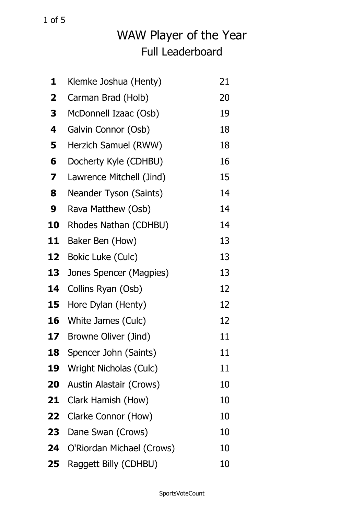| 1  | Klemke Joshua (Henty)         | 21 |
|----|-------------------------------|----|
| 2  | Carman Brad (Holb)            | 20 |
| 3  | McDonnell Izaac (Osb)         | 19 |
| 4  | Galvin Connor (Osb)           | 18 |
| 5  | Herzich Samuel (RWW)          | 18 |
| 6  | Docherty Kyle (CDHBU)         | 16 |
| 7  | Lawrence Mitchell (Jind)      | 15 |
| 8  | Neander Tyson (Saints)        | 14 |
| 9  | Rava Matthew (Osb)            | 14 |
| 10 | Rhodes Nathan (CDHBU)         | 14 |
| 11 | Baker Ben (How)               | 13 |
| 12 | Bokic Luke (Culc)             | 13 |
| 13 | Jones Spencer (Magpies)       | 13 |
| 14 | Collins Ryan (Osb)            | 12 |
| 15 | Hore Dylan (Henty)            | 12 |
| 16 | White James (Culc)            | 12 |
| 17 | Browne Oliver (Jind)          | 11 |
| 18 | Spencer John (Saints)         | 11 |
| 19 | <b>Wright Nicholas (Culc)</b> | 11 |
| 20 | Austin Alastair (Crows)       | 10 |
| 21 | Clark Hamish (How)            | 10 |
| 22 | Clarke Connor (How)           | 10 |
| 23 | Dane Swan (Crows)             | 10 |
| 24 | O'Riordan Michael (Crows)     | 10 |
| 25 | Raggett Billy (CDHBU)         | 10 |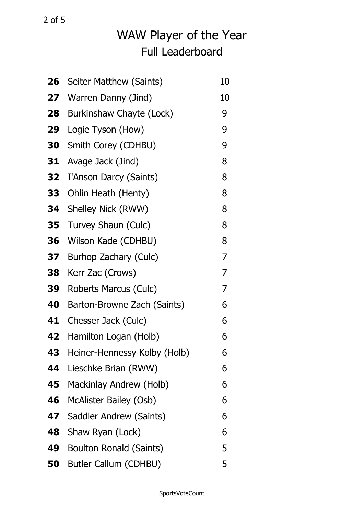| 26 | Seiter Matthew (Saints)        | 10 |
|----|--------------------------------|----|
| 27 | Warren Danny (Jind)            | 10 |
| 28 | Burkinshaw Chayte (Lock)       | 9  |
| 29 | Logie Tyson (How)              | 9  |
| 30 | Smith Corey (CDHBU)            | 9  |
| 31 | Avage Jack (Jind)              | 8  |
| 32 | I'Anson Darcy (Saints)         | 8  |
| 33 | Ohlin Heath (Henty)            | 8  |
| 34 | Shelley Nick (RWW)             | 8  |
| 35 | Turvey Shaun (Culc)            | 8  |
| 36 | Wilson Kade (CDHBU)            | 8  |
| 37 | Burhop Zachary (Culc)          | 7  |
| 38 | Kerr Zac (Crows)               | 7  |
| 39 | Roberts Marcus (Culc)          | 7  |
| 40 | Barton-Browne Zach (Saints)    | 6  |
| 41 | Chesser Jack (Culc)            | 6  |
| 42 | Hamilton Logan (Holb)          | 6  |
| 43 | Heiner-Hennessy Kolby (Holb)   | ხ  |
| 44 | Lieschke Brian (RWW)           | 6  |
| 45 | Mackinlay Andrew (Holb)        | 6  |
| 46 | McAlister Bailey (Osb)         | 6  |
| 47 | Saddler Andrew (Saints)        | 6  |
| 48 | Shaw Ryan (Lock)               | 6  |
| 49 | <b>Boulton Ronald (Saints)</b> | 5  |
| 50 | Butler Callum (CDHBU)          | 5  |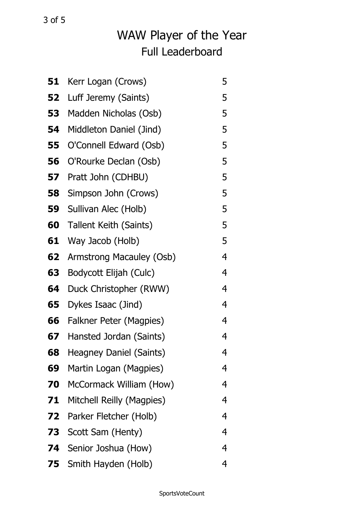| 51 | Kerr Logan (Crows)              | 5 |
|----|---------------------------------|---|
| 52 | Luff Jeremy (Saints)            | 5 |
| 53 | Madden Nicholas (Osb)           | 5 |
| 54 | Middleton Daniel (Jind)         | 5 |
| 55 | O'Connell Edward (Osb)          | 5 |
| 56 | O'Rourke Declan (Osb)           | 5 |
| 57 | Pratt John (CDHBU)              | 5 |
| 58 | Simpson John (Crows)            | 5 |
| 59 | Sullivan Alec (Holb)            | 5 |
| 60 | Tallent Keith (Saints)          | 5 |
| 61 | Way Jacob (Holb)                | 5 |
| 62 | <b>Armstrong Macauley (Osb)</b> | 4 |
| 63 | Bodycott Elijah (Culc)          | 4 |
| 64 | Duck Christopher (RWW)          | 4 |
| 65 | Dykes Isaac (Jind)              | 4 |
| 66 | Falkner Peter (Magpies)         | 4 |
| 67 | Hansted Jordan (Saints)         | 4 |
| 68 | <b>Heagney Daniel (Saints)</b>  | 4 |
| 69 | Martin Logan (Magpies)          | 4 |
| 70 | McCormack William (How)         | 4 |
| 71 | Mitchell Reilly (Magpies)       | 4 |
| 72 | Parker Fletcher (Holb)          | 4 |
| 73 | Scott Sam (Henty)               | 4 |
| 74 | Senior Joshua (How)             | 4 |
|    | <b>75</b> Smith Hayden (Holb)   | 4 |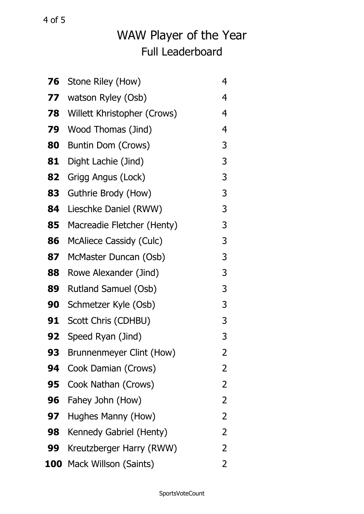| 76  | Stone Riley (How)               | 4 |
|-----|---------------------------------|---|
| 77  | watson Ryley (Osb)              | 4 |
| 78  | Willett Khristopher (Crows)     | 4 |
| 79  | <b>Wood Thomas (Jind)</b>       | 4 |
| 80  | Buntin Dom (Crows)              | 3 |
| 81  | Dight Lachie (Jind)             | 3 |
| 82  | Grigg Angus (Lock)              | 3 |
| 83  | Guthrie Brody (How)             | 3 |
| 84  | Lieschke Daniel (RWW)           | 3 |
| 85  | Macreadie Fletcher (Henty)      | 3 |
| 86  | <b>McAliece Cassidy (Culc)</b>  | 3 |
| 87  | McMaster Duncan (Osb)           | 3 |
| 88  | Rowe Alexander (Jind)           | 3 |
| 89  | Rutland Samuel (Osb)            | 3 |
| 90  | Schmetzer Kyle (Osb)            | 3 |
| 91  | Scott Chris (CDHBU)             | 3 |
| 92  | Speed Ryan (Jind)               | 3 |
| 93  | <b>Brunnenmeyer Clint (How)</b> | 2 |
| 94  | Cook Damian (Crows)             | 2 |
| 95  | Cook Nathan (Crows)             | 2 |
| 96  | Fahey John (How)                | 2 |
| 97  | Hughes Manny (How)              | 2 |
| 98  | Kennedy Gabriel (Henty)         | 2 |
| 99  | Kreutzberger Harry (RWW)        | 2 |
| 100 | Mack Willson (Saints)           | 2 |